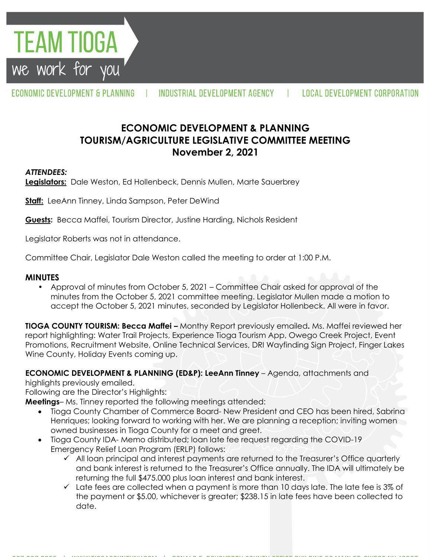

ECONOMIC DEVELOPMENT & PLANNING

INDUSTRIAL DEVELOPMENT AGENCY

# **ECONOMIC DEVELOPMENT & PLANNING TOURISM/AGRICULTURE LEGISLATIVE COMMITTEE MEETING November 2, 2021**

### *ATTENDEES:*

**Legislators:** Dale Weston, Ed Hollenbeck, Dennis Mullen, Marte Sauerbrey

**Staff:** LeeAnn Tinney, Linda Sampson, Peter DeWind

**Guests:** Becca Maffei, Tourism Director, Justine Harding, Nichols Resident

Legislator Roberts was not in attendance.

Committee Chair, Legislator Dale Weston called the meeting to order at 1:00 P.M.

#### **MINUTES**

• Approval of minutes from October 5, 2021 – Committee Chair asked for approval of the minutes from the October 5, 2021 committee meeting. Legislator Mullen made a motion to accept the October 5, 2021 minutes, seconded by Legislator Hollenbeck. All were in favor.

**TIOGA COUNTY TOURISM: Becca Maffei –** Monthy Report previously emailed**.** Ms. Maffei reviewed her report highlighting: Water Trail Projects, Experience Tioga Tourism App, Owego Creek Project, Event Promotions, Recruitment Website, Online Technical Services, DRI Wayfinding Sign Project, Finger Lakes Wine County, Holiday Events coming up.

#### **ECONOMIC DEVELOPMENT & PLANNING (ED&P): LeeAnn Tinney** – Agenda, attachments and

highlights previously emailed.

Following are the Director's Highlights:

**Meetings**– Ms. Tinney reported the following meetings attended:

- Tioga County Chamber of Commerce Board- New President and CEO has been hired, Sabrina Henriques; looking forward to working with her. We are planning a reception; inviting women owned businesses in Tioga County for a meet and greet.
- Tioga County IDA- Memo distributed; loan late fee request regarding the COVID-19 Emergency Relief Loan Program (ERLP) follows:
	- $\checkmark$  All loan principal and interest payments are returned to the Treasurer's Office quarterly and bank interest is returned to the Treasurer's Office annually. The IDA will ultimately be returning the full \$475.000 plus loan interest and bank interest.
	- $\checkmark$  Late fees are collected when a payment is more than 10 days late. The late fee is 3% of the payment or \$5.00, whichever is greater; \$238.15 in late fees have been collected to date.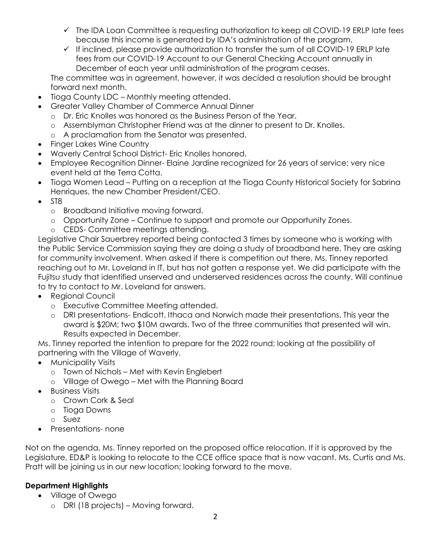- $\checkmark$  The IDA Loan Committee is requesting authorization to keep all COVID-19 ERLP late fees because this income is generated by IDA's administration of the program.
- $\checkmark$  If inclined, please provide authorization to transfer the sum of all COVID-19 ERLP late fees from our COVID-19 Account to our General Checking Account annually in December of each year until administration of the program ceases.

The committee was in agreement, however, it was decided a resolution should be brought forward next month.

- Tioga County LDC Monthly meeting attended.
- Greater Valley Chamber of Commerce Annual Dinner
	- o Dr. Eric Knolles was honored as the Business Person of the Year.
	- o Assemblyman Christopher Friend was at the dinner to present to Dr. Knolles.
	- o A proclamation from the Senator was presented.
- Finger Lakes Wine Country
- Waverly Central School District- Eric Knolles honored.
- Employee Recognition Dinner- Elaine Jardine recognized for 26 years of service; very nice event held at the Terra Cotta.
- Tioga Women Lead Putting on a reception at the Tioga County Historical Society for Sabrina Henriques, the new Chamber President/CEO.
- $\bullet$  ST8
	- o Broadband Initiative moving forward.
	- o Opportunity Zone Continue to support and promote our Opportunity Zones.
	- o CEDS- Committee meetings attending.

Legislative Chair Sauerbrey reported being contacted 3 times by someone who is working with the Public Service Commission saying they are doing a study of broadband here. They are asking for community involvement. When asked if there is competition out there, Ms. Tinney reported reaching out to Mr. Loveland in IT, but has not gotten a response yet. We did participate with the Fujitsu study that identified unserved and underserved residences across the county. Will continue to try to contact to Mr. Loveland for answers.

- Regional Council
	- o Executive Committee Meeting attended.
	- o DRI presentations- Endicott, Ithaca and Norwich made their presentations. This year the award is \$20M; two \$10M awards. Two of the three communities that presented will win. Results expected in December.

Ms. Tinney reported the intention to prepare for the 2022 round; looking at the possibility of partnering with the Village of Waverly.

- Municipality Visits
	- o Town of Nichols Met with Kevin Englebert
	- o Village of Owego Met with the Planning Board
- **•** Business Visits
	- o Crown Cork & Seal
	- o Tioga Downs
	- o Suez
- Presentations- none

Not on the agenda, Ms. Tinney reported on the proposed office relocation. If it is approved by the Legislature, ED&P is looking to relocate to the CCE office space that is now vacant. Ms. Curtis and Ms. Pratt will be joining us in our new location; looking forward to the move.

## **Department Highlights**

- Village of Owego
	- o DRI (18 projects) Moving forward.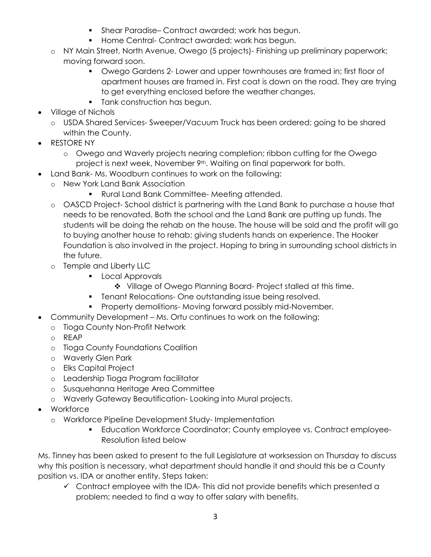- Shear Paradise– Contract awarded; work has begun.
- **Home Central- Contract awarded; work has begun.**
- o NY Main Street, North Avenue, Owego (5 projects)- Finishing up preliminary paperwork; moving forward soon.
	- **•** Owego Gardens 2- Lower and upper townhouses are framed in; first floor of apartment houses are framed in. First coat is down on the road. They are trying to get everything enclosed before the weather changes.
	- **Tank construction has begun.**
- Village of Nichols
	- o USDA Shared Services- Sweeper/Vacuum Truck has been ordered; going to be shared within the County.
- RESTORE NY
	- o Owego and Waverly projects nearing completion; ribbon cutting for the Owego project is next week, November 9<sup>th</sup>. Waiting on final paperwork for both.
- Land Bank- Ms. Woodburn continues to work on the following:
	- o New York Land Bank Association
		- **Rural Land Bank Committee- Meeting attended.**
	- o OASCD Project- School district is partnering with the Land Bank to purchase a house that needs to be renovated. Both the school and the Land Bank are putting up funds. The students will be doing the rehab on the house. The house will be sold and the profit will go to buying another house to rehab; giving students hands on experience. The Hooker Foundation is also involved in the project. Hoping to bring in surrounding school districts in the future.
	- o Temple and Liberty LLC
		- **Local Approvals** 
			- ◆ Village of Owego Planning Board- Project stalled at this time.
		- **Tenant Relocations- One outstanding issue being resolved.**
		- **Property demolitions-Moving forward possibly mid-November.**
- Community Development Ms. Ortu continues to work on the following:
	- o Tioga County Non-Profit Network
	- o REAP
	- o Tioga County Foundations Coalition
	- o Waverly Glen Park
	- o Elks Capital Project
	- o Leadership Tioga Program facilitator
	- o Susquehanna Heritage Area Committee
	- o Waverly Gateway Beautification- Looking into Mural projects.
- Workforce
	- o Workforce Pipeline Development Study- Implementation
		- **Education Workforce Coordinator; County employee vs. Contract employee-**Resolution listed below

Ms. Tinney has been asked to present to the full Legislature at worksession on Thursday to discuss why this position is necessary, what department should handle it and should this be a County position vs. IDA or another entity. Steps taken:

 $\checkmark$  Contract employee with the IDA-This did not provide benefits which presented a problem; needed to find a way to offer salary with benefits.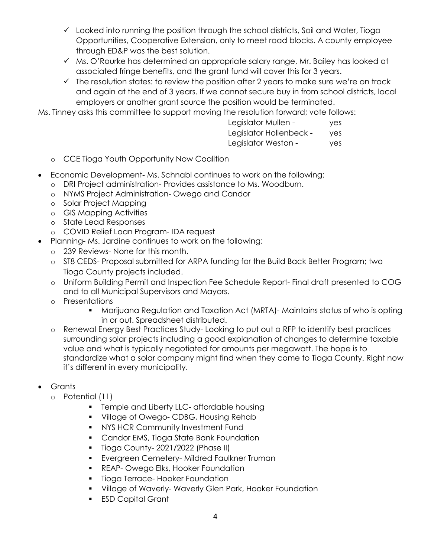- $\checkmark$  Looked into running the position through the school districts, Soil and Water, Tioga Opportunities, Cooperative Extension, only to meet road blocks. A county employee through ED&P was the best solution.
- Ms. O'Rourke has determined an appropriate salary range, Mr. Bailey has looked at associated fringe benefits, and the grant fund will cover this for 3 years.
- $\checkmark$  The resolution states: to review the position after 2 years to make sure we're on track and again at the end of 3 years. If we cannot secure buy in from school districts, local employers or another grant source the position would be terminated.

Ms. Tinney asks this committee to support moving the resolution forward; vote follows:

Legislator Mullen - yes Legislator Hollenbeck - yes

Legislator Weston - yes

- o CCE Tioga Youth Opportunity Now Coalition
- Economic Development- Ms. Schnabl continues to work on the following:
	- o DRI Project administration- Provides assistance to Ms. Woodburn.
	- o NYMS Project Administration- Owego and Candor
	- o Solar Project Mapping
	- o GIS Mapping Activities
	- o State Lead Responses
	- o COVID Relief Loan Program- IDA request
	- Planning- Ms. Jardine continues to work on the following:
		- o 239 Reviews- None for this month.
		- o ST8 CEDS- Proposal submitted for ARPA funding for the Build Back Better Program; two Tioga County projects included.
		- o Uniform Building Permit and Inspection Fee Schedule Report- Final draft presented to COG and to all Municipal Supervisors and Mayors.
		- o Presentations
			- Marijuana Regulation and Taxation Act (MRTA)- Maintains status of who is opting in or out. Spreadsheet distributed.
		- o Renewal Energy Best Practices Study- Looking to put out a RFP to identify best practices surrounding solar projects including a good explanation of changes to determine taxable value and what is typically negotiated for amounts per megawatt. The hope is to standardize what a solar company might find when they come to Tioga County. Right now it's different in every municipality.
- Grants
	- o Potential (11)
		- **Temple and Liberty LLC- affordable housing**
		- Village of Owego- CDBG, Housing Rehab
		- **NYS HCR Community Investment Fund**
		- **Candor EMS, Tioga State Bank Foundation**
		- **Tioga County-2021/2022 (Phase II)**
		- **Evergreen Cemetery-Mildred Faulkner Truman**
		- **REAP- Owego Elks, Hooker Foundation**
		- **Tioga Terrace- Hooker Foundation**
		- **Village of Waverly- Waverly Glen Park, Hooker Foundation**
		- **ESD Capital Grant**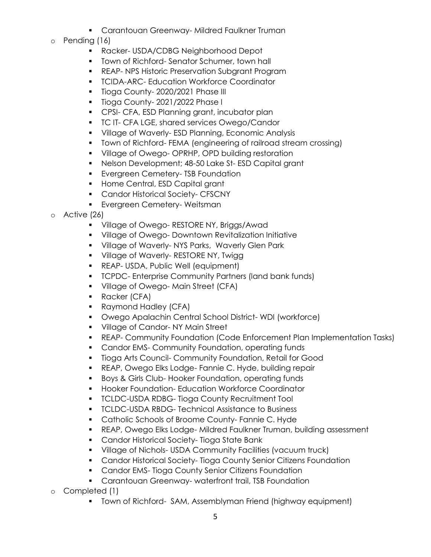- **Carantouan Greenway-Mildred Faulkner Truman**
- o Pending (16)
	- Racker- USDA/CDBG Neighborhood Depot
	- **Town of Richford- Senator Schumer, town hall**
	- **REAP- NPS Historic Preservation Subgrant Program**
	- **TCIDA-ARC- Education Workforce Coordinator**
	- **Tioga County-2020/2021 Phase III**
	- **Tioga County-2021/2022 Phase I**
	- **CPSI- CFA, ESD Planning grant, incubator plan**
	- **TC IT- CFA LGE, shared services Owego/Candor**
	- **Village of Waverly-ESD Planning, Economic Analysis**
	- Town of Richford- FEMA (engineering of railroad stream crossing)
	- **Village of Owego- OPRHP, OPD building restoration**
	- Nelson Development; 48-50 Lake St- ESD Capital grant
	- **Evergreen Cemetery- TSB Foundation**
	- **Home Central, ESD Capital grant**
	- **Candor Historical Society- CFSCNY**
	- **Evergreen Cemetery- Weitsman**
- o Active (26)
	- **Village of Owego- RESTORE NY, Briggs/Awad**
	- Village of Owego- Downtown Revitalization Initiative
	- **Village of Waverly-NYS Parks, Waverly Glen Park**
	- **Village of Waverly- RESTORE NY, Twigg**
	- **REAP- USDA, Public Well (equipment)**
	- **TCPDC- Enterprise Community Partners (land bank funds)**
	- **Village of Owego- Main Street (CFA)**
	- **Racker (CFA)**
	- Raymond Hadley (CFA)
	- Owego Apalachin Central School District- WDI (workforce)
	- **Village of Candor-NY Main Street**
	- REAP- Community Foundation (Code Enforcement Plan Implementation Tasks)
	- **Candor EMS- Community Foundation, operating funds**
	- **Tioga Arts Council- Community Foundation, Retail for Good**
	- REAP, Owego Elks Lodge- Fannie C. Hyde, building repair
	- **Boys & Girls Club- Hooker Foundation, operating funds**
	- **Hooker Foundation- Education Workforce Coordinator**
	- **TCLDC-USDA RDBG- Tioga County Recruitment Tool**
	- **TCLDC-USDA RBDG- Technical Assistance to Business**
	- **Catholic Schools of Broome County-Fannie C. Hyde**
	- REAP, Owego Elks Lodge- Mildred Faulkner Truman, building assessment
	- **Candor Historical Society- Tioga State Bank**
	- Village of Nichols- USDA Community Facilities (vacuum truck)
	- **Candor Historical Society- Tioga County Senior Citizens Foundation**
	- **Candor EMS- Tioga County Senior Citizens Foundation**
	- **Carantouan Greenway- waterfront trail, TSB Foundation**
- o Completed (1)
	- **The Steph of Richford- SAM, Assemblyman Friend (highway equipment)**